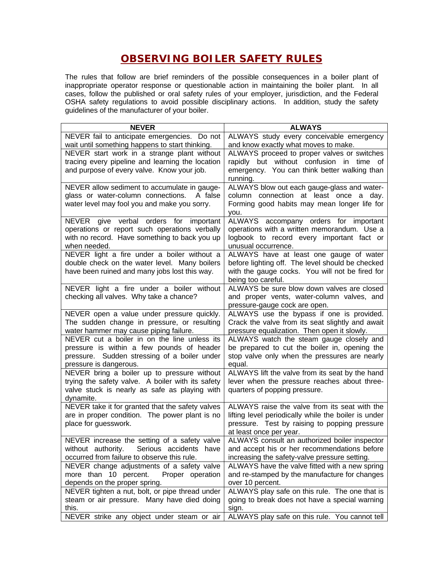## **OBSERVING BOILER SAFETY RULES**

The rules that follow are brief reminders of the possible consequences in a boiler plant of inappropriate operator response or questionable action in maintaining the boiler plant. In all cases, follow the published or oral safety rules of your employer, jurisdiction, and the Federal OSHA safety regulations to avoid possible disciplinary actions. In addition, study the safety guidelines of the manufacturer of your boiler.

| <b>NEVER</b>                                                                     | <b>ALWAYS</b>                                                                        |
|----------------------------------------------------------------------------------|--------------------------------------------------------------------------------------|
| NEVER fail to anticipate emergencies. Do not                                     | ALWAYS study every conceivable emergency                                             |
| wait until something happens to start thinking.                                  | and know exactly what moves to make.                                                 |
| NEVER start work in a strange plant without                                      | ALWAYS proceed to proper valves or switches                                          |
| tracing every pipeline and learning the location                                 | rapidly but without confusion in time of                                             |
| and purpose of every valve. Know your job.                                       | emergency. You can think better walking than                                         |
|                                                                                  | running.                                                                             |
| NEVER allow sediment to accumulate in gauge-                                     | ALWAYS blow out each gauge-glass and water-                                          |
| glass or water-column connections.<br>A false                                    | column connection at least once a day.                                               |
| water level may fool you and make you sorry.                                     | Forming good habits may mean longer life for                                         |
| NEVER give verbal orders for                                                     | you.                                                                                 |
| important<br>operations or report such operations verbally                       | ALWAYS accompany orders for important<br>operations with a written memorandum. Use a |
| with no record. Have something to back you up                                    | logbook to record every important fact or                                            |
| when needed.                                                                     | unusual occurrence.                                                                  |
| NEVER light a fire under a boiler without a                                      | ALWAYS have at least one gauge of water                                              |
| double check on the water level. Many boilers                                    | before lighting off. The level should be checked                                     |
| have been ruined and many jobs lost this way.                                    | with the gauge cocks. You will not be fired for                                      |
|                                                                                  | being too careful.                                                                   |
| NEVER light a fire under a boiler without                                        | ALWAYS be sure blow down valves are closed                                           |
| checking all valves. Why take a chance?                                          | and proper vents, water-column valves, and                                           |
|                                                                                  | pressure-gauge cock are open.                                                        |
| NEVER open a value under pressure quickly.                                       | ALWAYS use the bypass if one is provided.                                            |
| The sudden change in pressure, or resulting                                      | Crack the valve from its seat slightly and await                                     |
| water hammer may cause piping failure.                                           | pressure equalization. Then open it slowly.                                          |
| NEVER cut a boiler in on the line unless its                                     | ALWAYS watch the steam gauge closely and                                             |
| pressure is within a few pounds of header                                        | be prepared to cut the boiler in, opening the                                        |
| pressure. Sudden stressing of a boiler under<br>pressure is dangerous.           | stop valve only when the pressures are nearly<br>equal.                              |
| NEVER bring a boiler up to pressure without                                      | ALWAYS lift the valve from its seat by the hand                                      |
| trying the safety valve. A boiler with its safety                                | lever when the pressure reaches about three-                                         |
| valve stuck is nearly as safe as playing with                                    | quarters of popping pressure.                                                        |
| dynamite.                                                                        |                                                                                      |
| NEVER take it for granted that the safety valves                                 | ALWAYS raise the valve from its seat with the                                        |
| are in proper condition. The power plant is no                                   | lifting level periodically while the boiler is under                                 |
| place for guesswork.                                                             | pressure. Test by raising to popping pressure                                        |
|                                                                                  | at least once per year.                                                              |
| NEVER increase the setting of a safety valve                                     | ALWAYS consult an authorized boiler inspector                                        |
| without authority. Serious accidents have                                        | and accept his or her recommendations before                                         |
| occurred from failure to observe this rule.                                      | increasing the safety-valve pressure setting.                                        |
| NEVER change adjustments of a safety valve                                       | ALWAYS have the valve fitted with a new spring                                       |
| more than 10 percent.<br>Proper operation                                        | and re-stamped by the manufacture for changes                                        |
| depends on the proper spring.<br>NEVER tighten a nut, bolt, or pipe thread under | over 10 percent.<br>ALWAYS play safe on this rule. The one that is                   |
| steam or air pressure. Many have died doing                                      | going to break does not have a special warning                                       |
| this.                                                                            | sign.                                                                                |
| NEVER strike any object under steam or air                                       | ALWAYS play safe on this rule. You cannot tell                                       |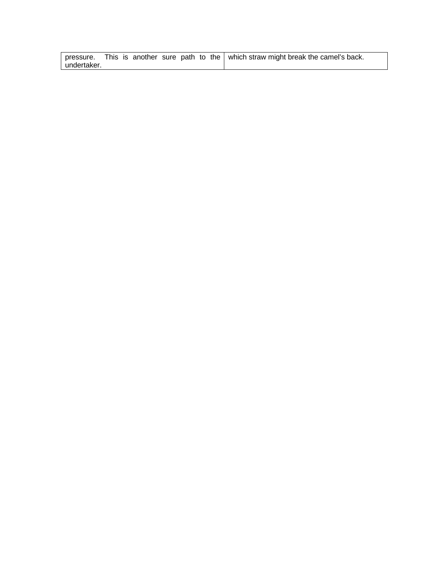|             |  |  |  | pressure. This is another sure path to the $\vert$ which straw might break the camel's back. |
|-------------|--|--|--|----------------------------------------------------------------------------------------------|
| undertaker. |  |  |  |                                                                                              |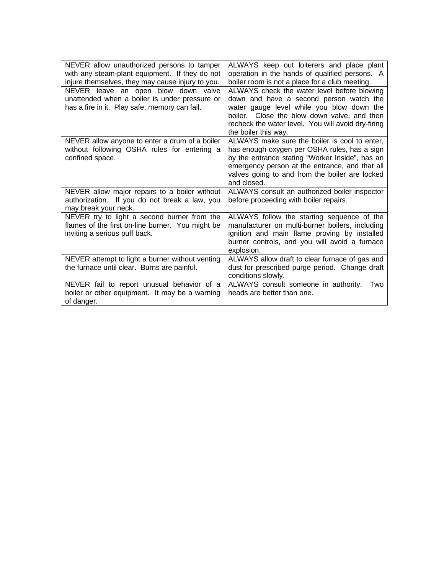| NEVER allow unauthorized persons to tamper<br>with any steam-plant equipment. If they do not<br>injure themselves, they may cause injury to you. | ALWAYS keep out loiterers and place plant<br>operation in the hands of qualified persons. A<br>boiler room is not a place for a club meeting.                                                                                                                       |
|--------------------------------------------------------------------------------------------------------------------------------------------------|---------------------------------------------------------------------------------------------------------------------------------------------------------------------------------------------------------------------------------------------------------------------|
| NEVER leave an open blow down valve<br>unattended when a boiler is under pressure or<br>has a fire in it. Play safe; memory can fail.            | ALWAYS check the water level before blowing<br>down and have a second person watch the<br>water gauge level while you blow down the<br>boiler. Close the blow down valve, and then<br>recheck the water level. You will avoid dry-firing<br>the boiler this way.    |
| NEVER allow anyone to enter a drum of a boiler<br>without following OSHA rules for entering a<br>confined space.                                 | ALWAYS make sure the boiler is cool to enter,<br>has enough oxygen per OSHA rules, has a sign<br>by the entrance stating "Worker Inside", has an<br>emergency person at the entrance, and that all<br>valves going to and from the boiler are locked<br>and closed. |
| NEVER allow major repairs to a boiler without<br>authorization. If you do not break a law, you<br>may break your neck.                           | ALWAYS consult an authorized boiler inspector<br>before proceeding with boiler repairs.                                                                                                                                                                             |
| NEVER try to light a second burner from the<br>flames of the first on-line burner. You might be<br>inviting a serious puff back.                 | ALWAYS follow the starting sequence of the<br>manufacturer on multi-burner boilers, including<br>ignition and main flame proving by installed<br>burner controls, and you will avoid a furnace<br>explosion.                                                        |
| NEVER attempt to light a burner without venting<br>the furnace until clear. Burns are painful.                                                   | ALWAYS allow draft to clear furnace of gas and<br>dust for prescribed purge period. Change draft<br>conditions slowly.                                                                                                                                              |
| NEVER fail to report unusual behavior of a<br>boiler or other equipment. It may be a warning<br>of danger.                                       | ALWAYS consult someone in authority.<br>Two<br>heads are better than one.                                                                                                                                                                                           |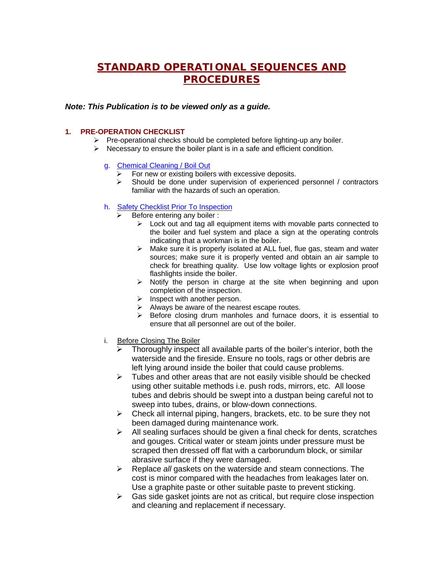# **STANDARD OPERATIONAL SEQUENCES AND PROCEDURES**

#### *Note: This Publication is to be viewed only as a guide.*

### **1. PRE-OPERATION CHECKLIST**

- $\triangleright$  Pre-operational checks should be completed before lighting-up any boiler.
- $\triangleright$  Necessary to ensure the boiler plant is in a safe and efficient condition.
	- g. Chemical Cleaning / Boil Out
		- For new or existing boilers with excessive deposits.
		- $\triangleright$  Should be done under supervision of experienced personnel / contractors familiar with the hazards of such an operation.

#### h. Safety Checklist Prior To Inspection

- Before entering any boiler :
	- $\triangleright$  Lock out and tag all equipment items with movable parts connected to the boiler and fuel system and place a sign at the operating controls indicating that a workman is in the boiler.
	- $\triangleright$  Make sure it is properly isolated at ALL fuel, flue gas, steam and water sources; make sure it is properly vented and obtain an air sample to check for breathing quality. Use low voltage lights or explosion proof flashlights inside the boiler.
	- $\triangleright$  Notify the person in charge at the site when beginning and upon completion of the inspection.
	- $\triangleright$  Inspect with another person.
	- $\triangleright$  Always be aware of the nearest escape routes.
	- $\triangleright$  Before closing drum manholes and furnace doors, it is essential to ensure that all personnel are out of the boiler.
- i. Before Closing The Boiler
	- Thoroughly inspect all available parts of the boiler's interior, both the waterside and the fireside. Ensure no tools, rags or other debris are left lying around inside the boiler that could cause problems.
	- $\triangleright$  Tubes and other areas that are not easily visible should be checked using other suitable methods i.e. push rods, mirrors, etc. All loose tubes and debris should be swept into a dustpan being careful not to sweep into tubes, drains, or blow-down connections.
	- $\triangleright$  Check all internal piping, hangers, brackets, etc. to be sure they not been damaged during maintenance work.
	- $\triangleright$  All sealing surfaces should be given a final check for dents, scratches and gouges. Critical water or steam joints under pressure must be scraped then dressed off flat with a carborundum block, or similar abrasive surface if they were damaged.
	- ÿ Replace *all* gaskets on the waterside and steam connections. The cost is minor compared with the headaches from leakages later on. Use a graphite paste or other suitable paste to prevent sticking.
	- $\triangleright$  Gas side gasket joints are not as critical, but require close inspection and cleaning and replacement if necessary.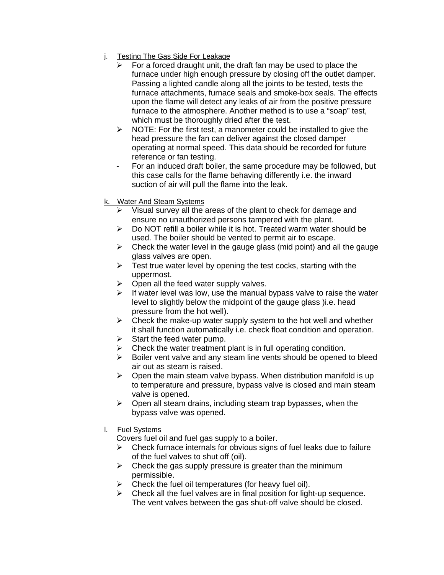- j. Testing The Gas Side For Leakage
	- For a forced draught unit, the draft fan may be used to place the furnace under high enough pressure by closing off the outlet damper. Passing a lighted candle along all the joints to be tested, tests the furnace attachments, furnace seals and smoke-box seals. The effects upon the flame will detect any leaks of air from the positive pressure furnace to the atmosphere. Another method is to use a "soap" test, which must be thoroughly dried after the test.
	- $\triangleright$  NOTE: For the first test, a manometer could be installed to give the head pressure the fan can deliver against the closed damper operating at normal speed. This data should be recorded for future reference or fan testing.
	- For an induced draft boiler, the same procedure may be followed, but this case calls for the flame behaving differently i.e. the inward suction of air will pull the flame into the leak.
- k. Water And Steam Systems
	- $\triangleright$  Visual survey all the areas of the plant to check for damage and ensure no unauthorized persons tampered with the plant.
	- $\triangleright$  Do NOT refill a boiler while it is hot. Treated warm water should be used. The boiler should be vented to permit air to escape.
	- $\triangleright$  Check the water level in the gauge glass (mid point) and all the gauge glass valves are open.
	- $\triangleright$  Test true water level by opening the test cocks, starting with the uppermost.
	- $\triangleright$  Open all the feed water supply valves.
	- $\triangleright$  If water level was low, use the manual bypass valve to raise the water level to slightly below the midpoint of the gauge glass )i.e. head pressure from the hot well).
	- $\triangleright$  Check the make-up water supply system to the hot well and whether it shall function automatically i.e. check float condition and operation.
	- $\triangleright$  Start the feed water pump.
	- $\triangleright$  Check the water treatment plant is in full operating condition.
	- $\triangleright$  Boiler vent valve and any steam line vents should be opened to bleed air out as steam is raised.
	- $\triangleright$  Open the main steam valve bypass. When distribution manifold is up to temperature and pressure, bypass valve is closed and main steam valve is opened.
	- $\triangleright$  Open all steam drains, including steam trap bypasses, when the bypass valve was opened.
- l. Fuel Systems

Covers fuel oil and fuel gas supply to a boiler.

- $\triangleright$  Check furnace internals for obvious signs of fuel leaks due to failure of the fuel valves to shut off (oil).
- $\triangleright$  Check the gas supply pressure is greater than the minimum permissible.
- $\triangleright$  Check the fuel oil temperatures (for heavy fuel oil).
- $\triangleright$  Check all the fuel valves are in final position for light-up sequence. The vent valves between the gas shut-off valve should be closed.